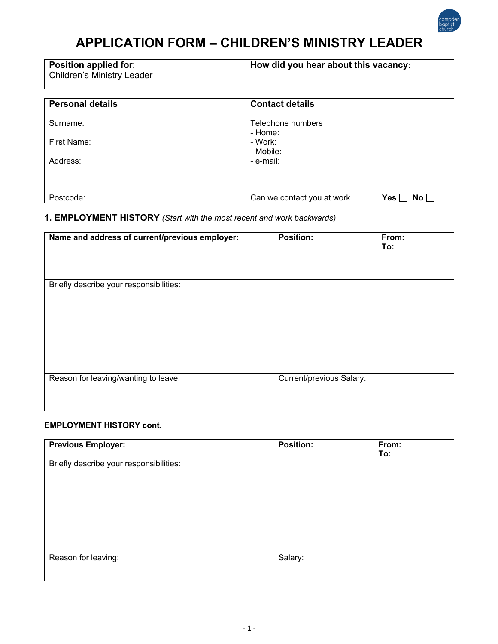

# **APPLICATION FORM – CHILDREN'S MINISTRY LEADER**

| <b>Position applied for:</b><br><b>Children's Ministry Leader</b> | How did you hear about this vacancy:       |
|-------------------------------------------------------------------|--------------------------------------------|
| <b>Personal details</b>                                           | <b>Contact details</b>                     |
| Surname:                                                          | Telephone numbers<br>- Home:               |
| First Name:                                                       | - Work:<br>- Mobile:                       |
| Address:                                                          | - e-mail:                                  |
|                                                                   |                                            |
| Postcode:                                                         | Can we contact you at work<br>Yes  <br>No. |

## **1. EMPLOYMENT HISTORY** *(Start with the most recent and work backwards)*

| Name and address of current/previous employer: | <b>Position:</b>         | From:<br>To: |
|------------------------------------------------|--------------------------|--------------|
| Briefly describe your responsibilities:        |                          |              |
| Reason for leaving/wanting to leave:           | Current/previous Salary: |              |

#### **EMPLOYMENT HISTORY cont.**

| <b>Previous Employer:</b>               | <b>Position:</b> | From:<br>To: |
|-----------------------------------------|------------------|--------------|
| Briefly describe your responsibilities: |                  |              |
|                                         |                  |              |
|                                         |                  |              |
|                                         |                  |              |
|                                         |                  |              |
| Reason for leaving:                     | Salary:          |              |
|                                         |                  |              |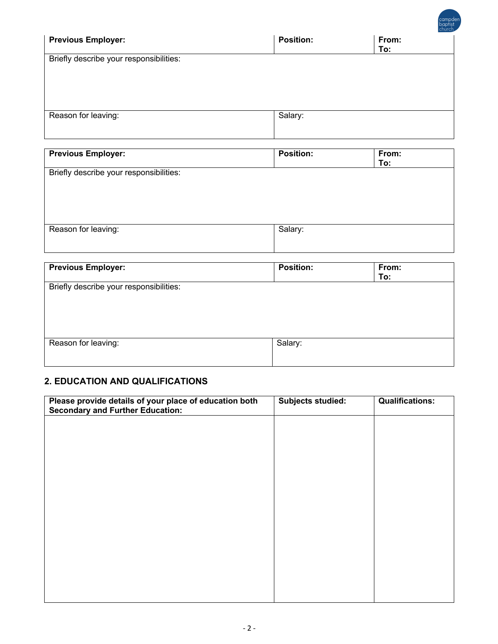|                                                                                             |                  | campd<br>baptist<br>church |
|---------------------------------------------------------------------------------------------|------------------|----------------------------|
| <b>Previous Employer:</b>                                                                   | <b>Position:</b> | From:<br>To:               |
| Briefly describe your responsibilities:                                                     |                  |                            |
| Reason for leaving:                                                                         | Salary:          |                            |
| <b>Previous Employer:</b>                                                                   | <b>Position:</b> | From:                      |
|                                                                                             |                  | To:                        |
|                                                                                             |                  |                            |
|                                                                                             | Salary:          |                            |
| Briefly describe your responsibilities:<br>Reason for leaving:<br><b>Previous Employer:</b> | Position:        | From:<br>To:               |

## **2. EDUCATION AND QUALIFICATIONS**

| Please provide details of your place of education both<br><b>Secondary and Further Education:</b> | <b>Subjects studied:</b> | <b>Qualifications:</b> |
|---------------------------------------------------------------------------------------------------|--------------------------|------------------------|
|                                                                                                   |                          |                        |
|                                                                                                   |                          |                        |
|                                                                                                   |                          |                        |
|                                                                                                   |                          |                        |
|                                                                                                   |                          |                        |
|                                                                                                   |                          |                        |
|                                                                                                   |                          |                        |
|                                                                                                   |                          |                        |
|                                                                                                   |                          |                        |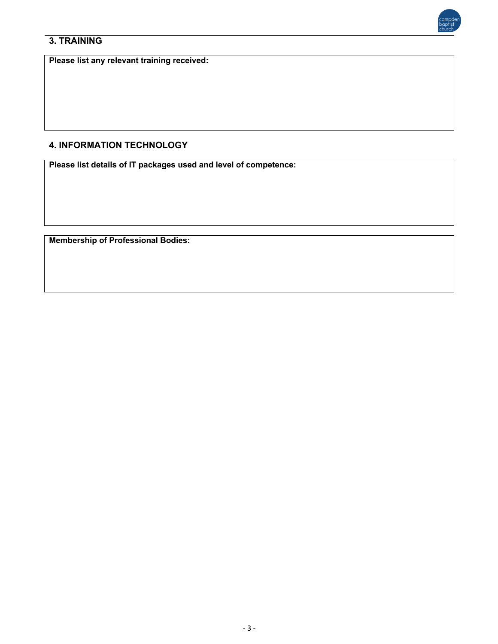



**Please list any relevant training received:**

## **4. INFORMATION TECHNOLOGY**

**Please list details of IT packages used and level of competence:**

**Membership of Professional Bodies:**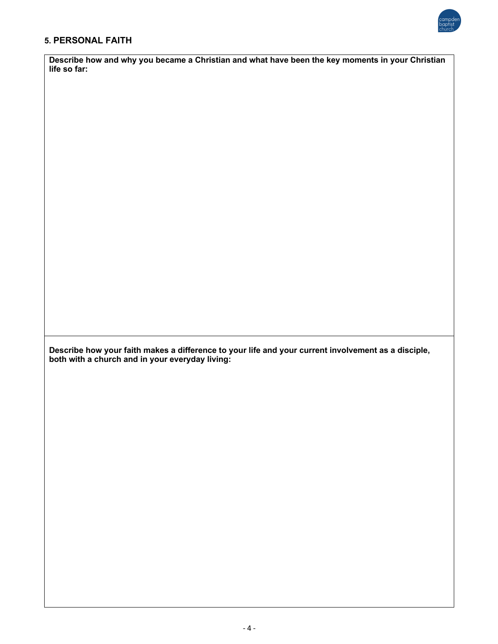

#### **5. PERSONAL FAITH**

**Describe how and why you became a Christian and what have been the key moments in your Christian life so far:**

**Describe how your faith makes a difference to your life and your current involvement as a disciple, both with a church and in your everyday living:**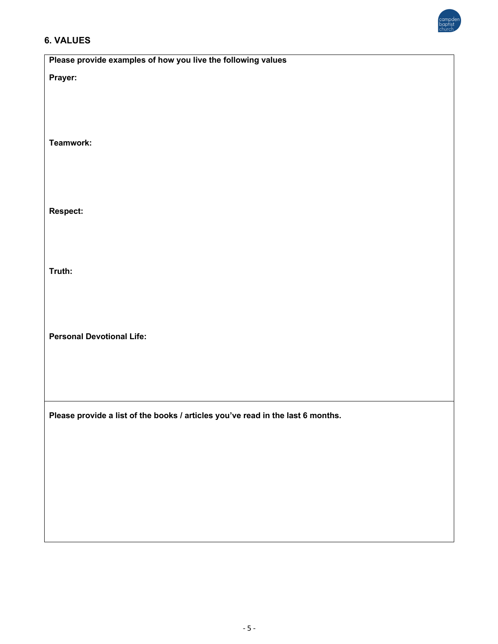

## **6. VALUES**

| Please provide examples of how you live the following values                    |
|---------------------------------------------------------------------------------|
| Prayer:                                                                         |
|                                                                                 |
|                                                                                 |
|                                                                                 |
|                                                                                 |
| Teamwork:                                                                       |
|                                                                                 |
|                                                                                 |
|                                                                                 |
| Respect:                                                                        |
|                                                                                 |
|                                                                                 |
|                                                                                 |
| Truth:                                                                          |
|                                                                                 |
|                                                                                 |
|                                                                                 |
|                                                                                 |
| <b>Personal Devotional Life:</b>                                                |
|                                                                                 |
|                                                                                 |
|                                                                                 |
|                                                                                 |
| Please provide a list of the books / articles you've read in the last 6 months. |
|                                                                                 |
|                                                                                 |
|                                                                                 |
|                                                                                 |
|                                                                                 |
|                                                                                 |
|                                                                                 |
|                                                                                 |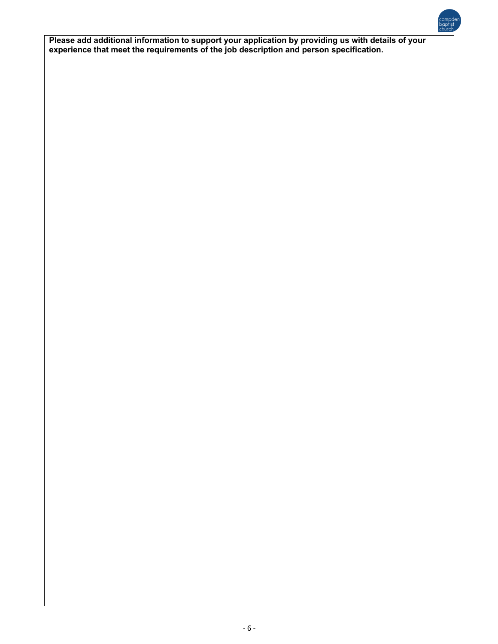**Please add additional information to support your application by providing us with details of your experience that meet the requirements of the job description and person specification.**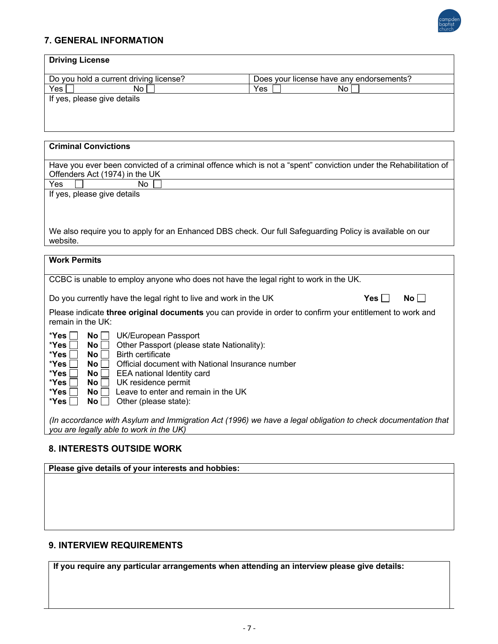

## **7. GENERAL INFORMATION**

#### **8. INTERESTS OUTSIDE WORK**

**Please give details of your interests and hobbies:**

### **9. INTERVIEW REQUIREMENTS**

**If you require any particular arrangements when attending an interview please give details:**